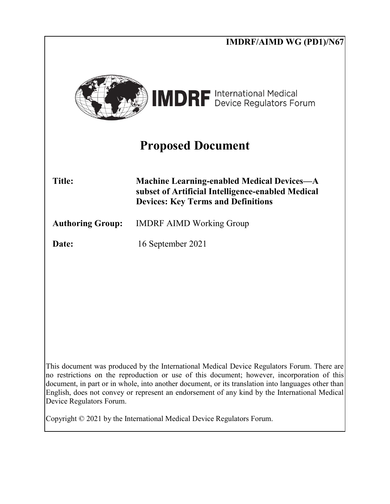|                          | <b>IMDRF/AIMD WG (PD1)/N67</b>                                                                                                                                                                                                                                                                                                                                                                   |
|--------------------------|--------------------------------------------------------------------------------------------------------------------------------------------------------------------------------------------------------------------------------------------------------------------------------------------------------------------------------------------------------------------------------------------------|
|                          | <b>IMDRF</b> International Medical                                                                                                                                                                                                                                                                                                                                                               |
|                          | <b>Proposed Document</b>                                                                                                                                                                                                                                                                                                                                                                         |
| <b>Title:</b>            | <b>Machine Learning-enabled Medical Devices—A</b><br>subset of Artificial Intelligence-enabled Medical<br><b>Devices: Key Terms and Definitions</b>                                                                                                                                                                                                                                              |
| <b>Authoring Group:</b>  | <b>IMDRF AIMD Working Group</b>                                                                                                                                                                                                                                                                                                                                                                  |
| Date:                    | 16 September 2021                                                                                                                                                                                                                                                                                                                                                                                |
|                          |                                                                                                                                                                                                                                                                                                                                                                                                  |
|                          |                                                                                                                                                                                                                                                                                                                                                                                                  |
|                          |                                                                                                                                                                                                                                                                                                                                                                                                  |
|                          |                                                                                                                                                                                                                                                                                                                                                                                                  |
|                          |                                                                                                                                                                                                                                                                                                                                                                                                  |
| Device Regulators Forum. | This document was produced by the International Medical Device Regulators Forum. There are<br>no restrictions on the reproduction or use of this document; however, incorporation of this<br>document, in part or in whole, into another document, or its translation into languages other than<br>English, does not convey or represent an endorsement of any kind by the International Medical |
|                          | Copyright $\odot$ 2021 by the International Medical Device Regulators Forum.                                                                                                                                                                                                                                                                                                                     |
|                          |                                                                                                                                                                                                                                                                                                                                                                                                  |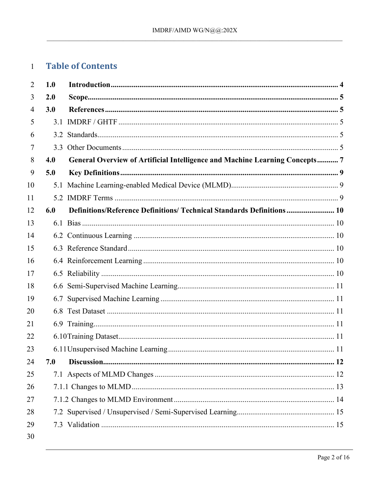#### **Table of Contents**  $\mathbf{1}$

| 2  | 1.0 |                                                                            |
|----|-----|----------------------------------------------------------------------------|
| 3  | 2.0 |                                                                            |
| 4  | 3.0 |                                                                            |
| 5  |     |                                                                            |
| 6  |     |                                                                            |
| 7  |     |                                                                            |
| 8  | 4.0 | General Overview of Artificial Intelligence and Machine Learning Concepts7 |
| 9  | 5.0 |                                                                            |
| 10 |     |                                                                            |
| 11 |     |                                                                            |
| 12 | 6.0 | Definitions/Reference Definitions/ Technical Standards Definitions 10      |
| 13 |     |                                                                            |
| 14 |     |                                                                            |
| 15 |     |                                                                            |
| 16 |     |                                                                            |
| 17 |     |                                                                            |
| 18 |     |                                                                            |
| 19 |     |                                                                            |
| 20 |     |                                                                            |
| 21 |     |                                                                            |
| 22 |     |                                                                            |
| 23 |     |                                                                            |
| 24 | 7.0 |                                                                            |
| 25 |     |                                                                            |
| 26 |     |                                                                            |
| 27 |     |                                                                            |
| 28 |     |                                                                            |
| 29 |     |                                                                            |
| 30 |     |                                                                            |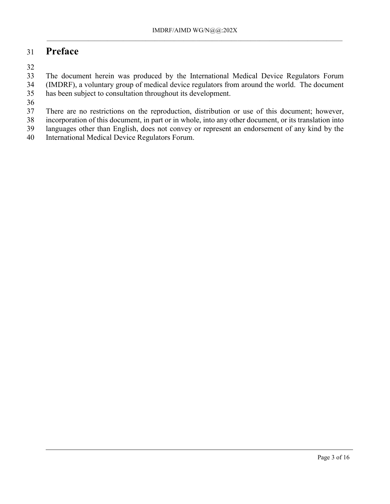# 31 **Preface**

32

33 The document herein was produced by the International Medical Device Regulators Forum<br>34 (IMDRF), a voluntary group of medical device regulators from around the world. The document (IMDRF), a voluntary group of medical device regulators from around the world. The document 35 has been subject to consultation throughout its development.

 $\frac{36}{37}$ 

There are no restrictions on the reproduction, distribution or use of this document; however,

38 incorporation of this document, in part or in whole, into any other document, or its translation into

39 languages other than English, does not convey or represent an endorsement of any kind by the

40 International Medical Device Regulators Forum.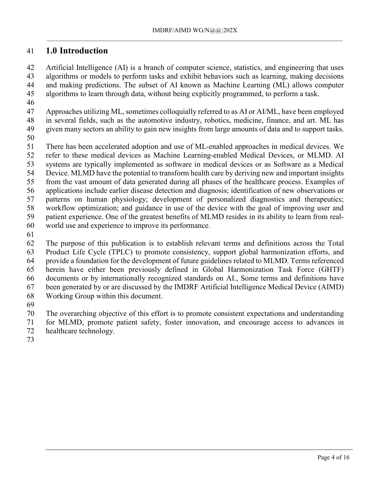### <span id="page-3-0"></span>**1.0 Introduction**

 Artificial Intelligence (AI) is a branch of computer science, statistics, and engineering that uses algorithms or models to perform tasks and exhibit behaviors such as learning, making decisions and making predictions. The subset of AI known as Machine Learning (ML) allows computer algorithms to learn through data, without being explicitly programmed, to perform a task.

 Approaches utilizing ML, sometimes colloquially referred to as AI or AI/ML, have been employed in several fields, such as the automotive industry, robotics, medicine, finance, and art. ML has given many sectors an ability to gain new insights from large amounts of data and to support tasks.

There has been accelerated adoption and use of ML-enabled approaches in medical devices. We

refer to these medical devices as Machine Learning-enabled Medical Devices, or MLMD. AI

systems are typically implemented as software in medical devices or as Software as a Medical

Device. MLMD have the potential to transform health care by deriving new and important insights

from the vast amount of data generated during all phases of the healthcare process. Examples of

applications include earlier disease detection and diagnosis; identification of new observations or

patterns on human physiology; development of personalized diagnostics and therapeutics;

workflow optimization; and guidance in use of the device with the goal of improving user and

patient experience. One of the greatest benefits of MLMD resides in its ability to learn from real-

- world use and experience to improve its performance.
- 

 The purpose of this publication is to establish relevant terms and definitions across the Total Product Life Cycle (TPLC) to promote consistency, support global harmonization efforts, and provide a foundation for the development of future guidelines related to MLMD. Terms referenced herein have either been previously defined in Global Harmonization Task Force (GHTF) documents or by internationally recognized standards on AI., Some terms and definitions have been generated by or are discussed by the IMDRF Artificial Intelligence Medical Device (AIMD) Working Group within this document.

The overarching objective of this effort is to promote consistent expectations and understanding

for MLMD, promote patient safety, foster innovation, and encourage access to advances in

- healthcare technology.
-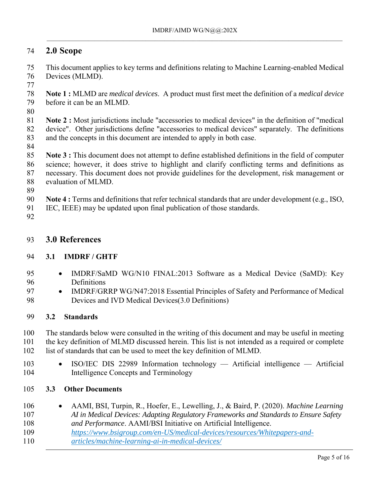# <span id="page-4-0"></span>**2.0 Scope**

 This document applies to key terms and definitions relating to Machine Learning-enabled Medical Devices (MLMD).

- **Note 1 :** MLMD are *medical devices*. A product must first meet the definition of a *medical device* before it can be an MLMD.
- 

 **Note 2 :** Most jurisdictions include "accessories to medical devices" in the definition of "medical device". Other jurisdictions define "accessories to medical devices" separately. The definitions and the concepts in this document are intended to apply in both case.

 **Note 3 :** This document does not attempt to define established definitions in the field of computer science; however, it does strive to highlight and clarify conflicting terms and definitions as necessary. This document does not provide guidelines for the development, risk management or evaluation of MLMD.

**Note 4 :** Terms and definitions that refer technical standards that are under development (e.g., ISO,

IEC, IEEE) may be updated upon final publication of those standards.

### <span id="page-4-1"></span>**3.0 References**

#### <span id="page-4-2"></span>**3.1 IMDRF / GHTF**

- IMDRF/SaMD WG/N10 FINAL:2013 Software as a Medical Device (SaMD): Key Definitions
- 97 IMDRF/GRRP WG/N47:2018 Essential Principles of Safety and Performance of Medical Devices and IVD Medical Devices(3.0 Definitions)

#### <span id="page-4-3"></span>**3.2 Standards**

 The standards below were consulted in the writing of this document and may be useful in meeting the key definition of MLMD discussed herein. This list is not intended as a required or complete list of standards that can be used to meet the key definition of MLMD.

- 103 ISO/IEC DIS 22989 Information technology Artificial intelligence Artificial Intelligence Concepts and Terminology
- <span id="page-4-4"></span>**3.3 Other Documents**
- AAMI, BSI, Turpin, R., Hoefer, E., Lewelling, J., & Baird, P. (2020). *Machine Learning AI in Medical Devices: Adapting Regulatory Frameworks and Standards to Ensure Safety and Performance*. AAMI/BSI Initiative on Artificial Intelligence.
- 
- *[https://www.bsigroup.com/en-US/medical-devices/resources/Whitepapers-and-](https://www.bsigroup.com/en-US/medical-devices/resources/Whitepapers-and-articles/machine-learning-ai-in-medical-devices/)*
- *[articles/machine-learning-ai-in-medical-devices/](https://www.bsigroup.com/en-US/medical-devices/resources/Whitepapers-and-articles/machine-learning-ai-in-medical-devices/)*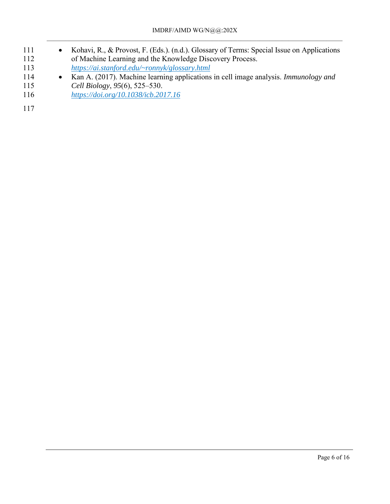- 111 Kohavi, R., & Provost, F. (Eds.). (n.d.). Glossary of Terms: Special Issue on Applications 112 of Machine Learning and the Knowledge Discovery Process.<br>
113 https://ai.stanford.edu/~ronnyk/glossary.html 113 *<https://ai.stanford.edu/~ronnyk/glossary.html>* 114 • Kan A. (2017). Machine learning applications in cell image analysis. *Immunology and*
- 115 *Cell Biology*, *95*(6), 525–530.
- 116 *<https://doi.org/10.1038/icb.2017.16>*
- 117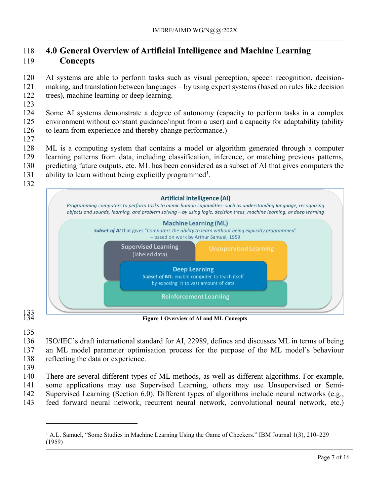# <span id="page-6-0"></span> **4.0 General Overview of Artificial Intelligence and Machine Learning Concepts**

 AI systems are able to perform tasks such as visual perception, speech recognition, decision- making, and translation between languages – by using expert systems (based on rules like decision trees), machine learning or deep learning.

 Some AI systems demonstrate a degree of autonomy (capacity to perform tasks in a complex environment without constant guidance/input from a user) and a capacity for adaptability (ability to learn from experience and thereby change performance.)

ML is a computing system that contains a model or algorithm generated through a computer

- learning patterns from data, including classification, inference, or matching previous patterns,
- predicting future outputs, etc. ML has been considered as a subset of AI that gives computers the 131 ability to learn without being explicitly programmed<sup>1</sup>.
- 
- 



 $\frac{133}{134}$ 

**Figure 1 Overview of AI and ML Concepts**

 ISO/IEC's draft international standard for AI, 22989, defines and discusses ML in terms of being an ML model parameter optimisation process for the purpose of the ML model's behaviour

- reflecting the data or experience.
- 

 $\overline{a}$ 

 There are several different types of ML methods, as well as different algorithms. For example, some applications may use Supervised Learning, others may use Unsupervised or Semi-Supervised Learning (Section 6.0). Different types of algorithms include neural networks (e.g.,

feed forward neural network, recurrent neural network, convolutional neural network, etc.)

 A.L. Samuel, "Some Studies in Machine Learning Using the Game of Checkers." IBM Journal 1(3), 210–229 (1959)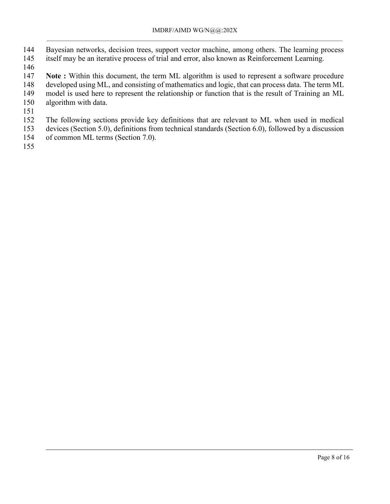- Bayesian networks, decision trees, support vector machine, among others. The learning process
- itself may be an iterative process of trial and error, also known as Reinforcement Learning.
- 
- **Note** : Within this document, the term ML algorithm is used to represent a software procedure
- developed using ML, and consisting of mathematics and logic, that can process data. The term ML
- model is used here to represent the relationship or function that is the result of Training an ML
- algorithm with data.
- 
- The following sections provide key definitions that are relevant to ML when used in medical devices (Section 5.0), definitions from technical standards (Section 6.0), followed by a discussion
- of common ML terms (Section 7.0).
-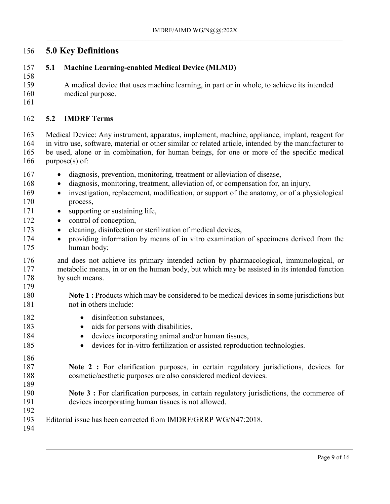# <span id="page-8-0"></span>**5.0 Key Definitions**

#### <span id="page-8-1"></span>**5.1 Machine Learning-enabled Medical Device (MLMD)**

- A medical device that uses machine learning, in part or in whole, to achieve its intended medical purpose.
- 

### <span id="page-8-2"></span>**5.2 IMDRF Terms**

 Medical Device: Any instrument, apparatus, implement, machine, appliance, implant, reagent for in vitro use, software, material or other similar or related article, intended by the manufacturer to be used, alone or in combination, for human beings, for one or more of the specific medical purpose(s) of:

- 167 · diagnosis, prevention, monitoring, treatment or alleviation of disease, 168 · diagnosis, monitoring, treatment, alleviation of, or compensation for, an injury, investigation, replacement, modification, or support of the anatomy, or of a physiological process, 171 • supporting or sustaining life, 172 • control of conception, **e** cleaning, disinfection or sterilization of medical devices, 174 • providing information by means of in vitro examination of specimens derived from the human body; and does not achieve its primary intended action by pharmacological, immunological, or metabolic means, in or on the human body, but which may be assisted in its intended function
- by such means.
- **Note 1 :** Products which may be considered to be medical devices in some jurisdictions but not in others include:
- 182 · disinfection substances.
- **a** aids for persons with disabilities,
- **e** devices incorporating animal and/or human tissues,
- **e** devices for in-vitro fertilization or assisted reproduction technologies.
- **Note 2 :** For clarification purposes, in certain regulatory jurisdictions, devices for cosmetic/aesthetic purposes are also considered medical devices.
- **Note 3 :** For clarification purposes, in certain regulatory jurisdictions, the commerce of devices incorporating human tissues is not allowed.
- Editorial issue has been corrected from IMDRF/GRRP WG/N47:2018.
-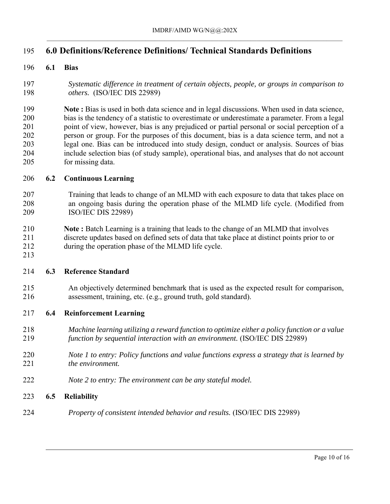# <span id="page-9-0"></span>**6.0 Definitions/Reference Definitions/ Technical Standards Definitions**

#### <span id="page-9-1"></span>**6.1 Bias**

 *Systematic difference in treatment of certain objects, people, or groups in comparison to others.* (ISO/IEC DIS 22989)

 **Note :** Bias is used in both data science and in legal discussions. When used in data science, bias is the tendency of a statistic to overestimate or underestimate a parameter. From a legal point of view, however, bias is any prejudiced or partial personal or social perception of a person or group. For the purposes of this document, bias is a data science term, and not a legal one. Bias can be introduced into study design, conduct or analysis. Sources of bias include selection bias (of study sample), operational bias, and analyses that do not account for missing data.

#### <span id="page-9-2"></span>**6.2 Continuous Learning**

- Training that leads to change of an MLMD with each exposure to data that takes place on an ongoing basis during the operation phase of the MLMD life cycle. (Modified from ISO/IEC DIS 22989)
- **Note :** Batch Learning is a training that leads to the change of an MLMD that involves discrete updates based on defined sets of data that take place at distinct points prior to or during the operation phase of the MLMD life cycle.

# <span id="page-9-3"></span>

#### **6.3 Reference Standard**

 An objectively determined benchmark that is used as the expected result for comparison, assessment, training, etc. (e.g., ground truth, gold standard).

#### <span id="page-9-4"></span>**6.4 Reinforcement Learning**

- *Machine learning utilizing a reward function to optimize either a policy function or a value function by sequential interaction with an environment.* (ISO/IEC DIS 22989)
- *Note 1 to entry: Policy functions and value functions express a strategy that is learned by the environment.*
- *Note 2 to entry: The environment can be any stateful model.*

#### <span id="page-9-5"></span>**6.5 Reliability**

*Property of consistent intended behavior and results.* (ISO/IEC DIS 22989)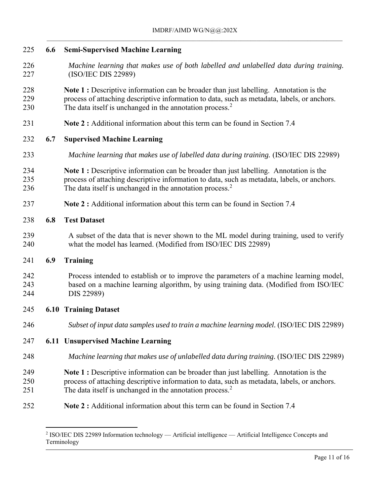<span id="page-10-6"></span><span id="page-10-2"></span><span id="page-10-1"></span><span id="page-10-0"></span>

| 225               | 6.6 | <b>Semi-Supervised Machine Learning</b>                                                                                                                                                                                                                              |
|-------------------|-----|----------------------------------------------------------------------------------------------------------------------------------------------------------------------------------------------------------------------------------------------------------------------|
| 226<br>227        |     | Machine learning that makes use of both labelled and unlabelled data during training.<br>(ISO/IEC DIS 22989)                                                                                                                                                         |
| 228<br>229<br>230 |     | Note 1 : Descriptive information can be broader than just labelling. Annotation is the<br>process of attaching descriptive information to data, such as metadata, labels, or anchors.<br>The data itself is unchanged in the annotation process. $2$                 |
| 231               |     | <b>Note 2:</b> Additional information about this term can be found in Section 7.4                                                                                                                                                                                    |
| 232               | 6.7 | <b>Supervised Machine Learning</b>                                                                                                                                                                                                                                   |
| 233               |     | Machine learning that makes use of labelled data during training. (ISO/IEC DIS 22989)                                                                                                                                                                                |
| 234<br>235<br>236 |     | <b>Note 1</b> : Descriptive information can be broader than just labelling. Annotation is the<br>process of attaching descriptive information to data, such as metadata, labels, or anchors.<br>The data itself is unchanged in the annotation process. <sup>2</sup> |
| 237               |     | Note 2 : Additional information about this term can be found in Section 7.4                                                                                                                                                                                          |
| 238               | 6.8 | <b>Test Dataset</b>                                                                                                                                                                                                                                                  |
| 239<br>240        |     | A subset of the data that is never shown to the ML model during training, used to verify<br>what the model has learned. (Modified from ISO/IEC DIS 22989)                                                                                                            |
| 241               | 6.9 | <b>Training</b>                                                                                                                                                                                                                                                      |
| 242<br>243<br>244 |     | Process intended to establish or to improve the parameters of a machine learning model,<br>based on a machine learning algorithm, by using training data. (Modified from ISO/IEC<br>DIS 22989)                                                                       |
| 245               |     | <b>6.10 Training Dataset</b>                                                                                                                                                                                                                                         |
| 246               |     | Subset of input data samples used to train a machine learning model. (ISO/IEC DIS 22989)                                                                                                                                                                             |
| 247               |     | <b>6.11 Unsupervised Machine Learning</b>                                                                                                                                                                                                                            |
| 248               |     | Machine learning that makes use of unlabelled data during training. (ISO/IEC DIS 22989)                                                                                                                                                                              |
| 249<br>250<br>251 |     | Note 1 : Descriptive information can be broader than just labelling. Annotation is the<br>process of attaching descriptive information to data, such as metadata, labels, or anchors.<br>The data itself is unchanged in the annotation process. $2$                 |
| 252               |     | Note 2 : Additional information about this term can be found in Section 7.4                                                                                                                                                                                          |
|                   |     | <sup>2</sup> ISO/IEC DIS 22989 Information technology — Artificial intelligence — Artificial Intelligence Concepts and                                                                                                                                               |

<span id="page-10-5"></span><span id="page-10-4"></span><span id="page-10-3"></span>Terminology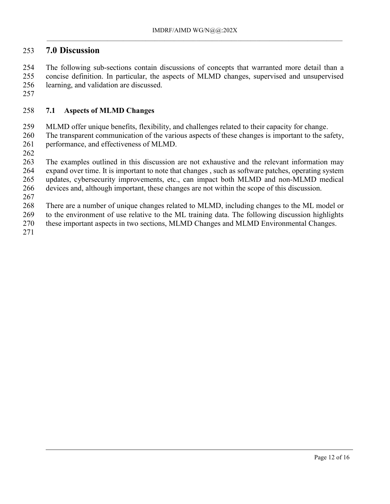### <span id="page-11-0"></span>**7.0 Discussion**

 The following sub-sections contain discussions of concepts that warranted more detail than a concise definition. In particular, the aspects of MLMD changes, supervised and unsupervised learning, and validation are discussed.

#### <span id="page-11-1"></span>**7.1 Aspects of MLMD Changes**

MLMD offer unique benefits, flexibility, and challenges related to their capacity for change.

 The transparent communication of the various aspects of these changes is important to the safety, performance, and effectiveness of MLMD.

 The examples outlined in this discussion are not exhaustive and the relevant information may expand over time. It is important to note that changes , such as software patches, operating system updates, cybersecurity improvements, etc., can impact both MLMD and non-MLMD medical devices and, although important, these changes are not within the scope of this discussion.

There are a number of unique changes related to MLMD, including changes to the ML model or

to the environment of use relative to the ML training data. The following discussion highlights

these important aspects in two sections, MLMD Changes and MLMD Environmental Changes.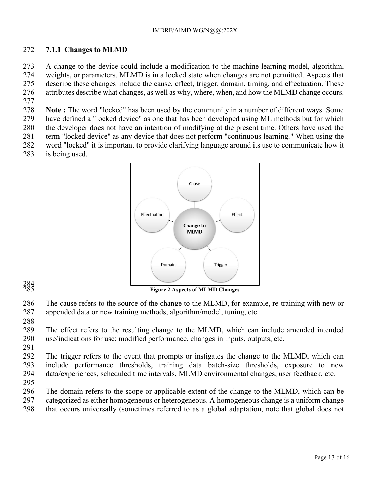#### <span id="page-12-0"></span>**7.1.1 Changes to MLMD**

 A change to the device could include a modification to the machine learning model, algorithm, weights, or parameters. MLMD is in a locked state when changes are not permitted. Aspects that describe these changes include the cause, effect, trigger, domain, timing, and effectuation. These attributes describe what changes, as well as why, where, when, and how the MLMD change occurs.

 **Note :** The word "locked" has been used by the community in a number of different ways. Some have defined a "locked device" as one that has been developed using ML methods but for which

the developer does not have an intention of modifying at the present time. Others have used the

 term "locked device" as any device that does not perform "continuous learning." When using the word "locked" it is important to provide clarifying language around its use to communicate how it

is being used.



**Figure 2 Aspects of MLMD Changes**

 The cause refers to the source of the change to the MLMD, for example, re-training with new or appended data or new training methods, algorithm/model, tuning, etc.

 The effect refers to the resulting change to the MLMD, which can include amended intended use/indications for use; modified performance, changes in inputs, outputs, etc.

 The trigger refers to the event that prompts or instigates the change to the MLMD, which can include performance thresholds, training data batch-size thresholds, exposure to new data/experiences, scheduled time intervals, MLMD environmental changes, user feedback, etc.

 The domain refers to the scope or applicable extent of the change to the MLMD, which can be categorized as either homogeneous or heterogeneous. A homogeneous change is a uniform change

that occurs universally (sometimes referred to as a global adaptation, note that global does not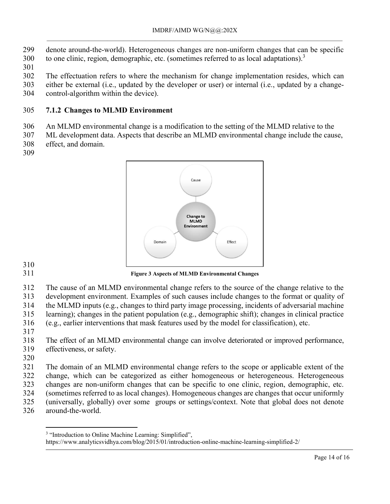- denote around-the-world). Heterogeneous changes are non-uniform changes that can be specific
- to one clinic, region, demographic, etc. (sometimes referred to as local adaptations).
- 
- The effectuation refers to where the mechanism for change implementation resides, which can
- either be external (i.e., updated by the developer or user) or internal (i.e., updated by a change-
- control-algorithm within the device).

# <span id="page-13-0"></span>**7.1.2 Changes to MLMD Environment**

An MLMD environmental change is a modification to the setting of the MLMD relative to the

 ML development data. Aspects that describe an MLMD environmental change include the cause, effect, and domain.



**Figure 3 Aspects of MLMD Environmental Changes** 

 development environment. Examples of such causes include changes to the format or quality of the MLMD inputs (e.g., changes to third party image processing, incidents of adversarial machine

- learning); changes in the patient population (e.g., demographic shift); changes in clinical practice
- (e.g., earlier interventions that mask features used by the model for classification), etc.
- 

 $\overline{a}$ 

 The domain of an MLMD environmental change refers to the scope or applicable extent of the change, which can be categorized as either homogeneous or heterogeneous. Heterogeneous changes are non-uniform changes that can be specific to one clinic, region, demographic, etc. (sometimes referred to as local changes). Homogeneous changes are changes that occur uniformly (universally, globally) over some groups or settings/context. Note that global does not denote around-the-world.

The cause of an MLMD environmental change refers to the source of the change relative to the

 The effect of an MLMD environmental change can involve deteriorated or improved performance, effectiveness, or safety.

<sup>&</sup>lt;sup>3</sup> "Introduction to Online Machine Learning: Simplified",

https://www.analyticsvidhya.com/blog/2015/01/introduction-online-machine-learning-simplified-2/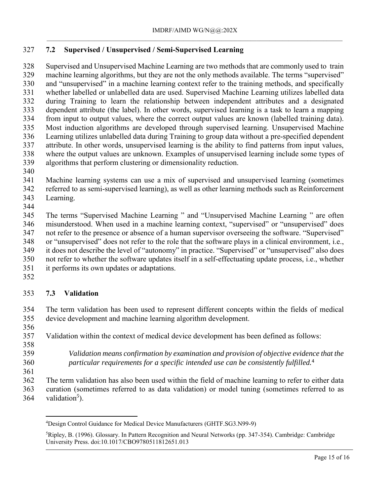# <span id="page-14-0"></span>**7.2 Supervised / Unsupervised / Semi-Supervised Learning**

 Supervised and Unsupervised Machine Learning are two methods that are commonly used to train machine learning algorithms, but they are not the only methods available. The terms "supervised" and "unsupervised" in a machine learning context refer to the training methods, and specifically whether labelled or unlabelled data are used. Supervised Machine Learning utilizes labelled data during Training to learn the relationship between independent attributes and a designated dependent attribute (the label). In other words, supervised learning is a task to learn a mapping from input to output values, where the correct output values are known (labelled training data). Most induction algorithms are developed through supervised learning. Unsupervised Machine Learning utilizes unlabelled data during Training to group data without a pre-specified dependent attribute. In other words, unsupervised learning is the ability to find patterns from input values, where the output values are unknown. Examples of unsupervised learning include some types of algorithms that perform clustering or dimensionality reduction.

 Machine learning systems can use a mix of supervised and unsupervised learning (sometimes referred to as semi-supervised learning), as well as other learning methods such as Reinforcement Learning.

 The terms "Supervised Machine Learning " and "Unsupervised Machine Learning " are often misunderstood. When used in a machine learning context, "supervised" or "unsupervised" does not refer to the presence or absence of a human supervisor overseeing the software. "Supervised" or "unsupervised" does not refer to the role that the software plays in a clinical environment, i.e., it does not describe the level of "autonomy" in practice. "Supervised" or "unsupervised" also does not refer to whether the software updates itself in a self-effectuating update process, i.e., whether

- it performs its own updates or adaptations.
- <span id="page-14-1"></span>

### **7.3 Validation**

 The term validation has been used to represent different concepts within the fields of medical device development and machine learning algorithm development.

Validation within the context of medical device development has been defined as follows:

 *Validation means confirmation by examination and provision of objective evidence that the particular requirements for a specific intended use can be consistently fulfilled.*<sup>4</sup>

 $\overline{a}$ 

 The term validation has also been used within the field of machine learning to refer to either data curation (sometimes referred to as data validation) or model tuning (sometimes referred to as 364 validation<sup>5</sup>).

Design Control Guidance for Medical Device Manufacturers (GHTF.SG3.N99-9)

Ripley, B. (1996). Glossary. In Pattern Recognition and Neural Networks (pp. 347-354). Cambridge: Cambridge University Press. doi:10.1017/CBO9780511812651.013